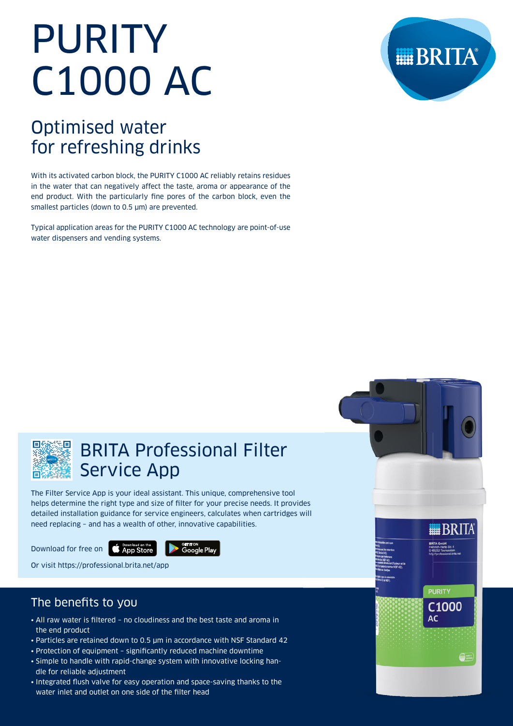# PURITY C1000 AC

# Optimised water for refreshing drinks

With its activated carbon block, the PURITY C1000 AC reliably retains residues in the water that can negatively affect the taste, aroma or appearance of the end product. With the particularly fine pores of the carbon block, even the smallest particles (down to 0.5 μm) are prevented.

Typical application areas for the PURITY C1000 AC technology are point-of-use water dispensers and vending systems.





## BRITA Professional Filter Service App

The Filter Service App is your ideal assistant. This unique, comprehensive tool helps determine the right type and size of filter for your precise needs. It provides detailed installation guidance for service engineers, calculates when cartridges will need replacing – and has a wealth of other, innovative capabilities.

Download for free on **CAPP Store** 



Or visit https://professional.brita.net/app

## The benefits to you

- All raw water is filtered no cloudiness and the best taste and aroma in the end product
- Particles are retained down to 0.5 μm in accordance with NSF Standard 42
- Protection of equipment significantly reduced machine downtime
- Simple to handle with rapid-change system with innovative locking handle for reliable adjustment
- Integrated flush valve for easy operation and space-saving thanks to the water inlet and outlet on one side of the filter head